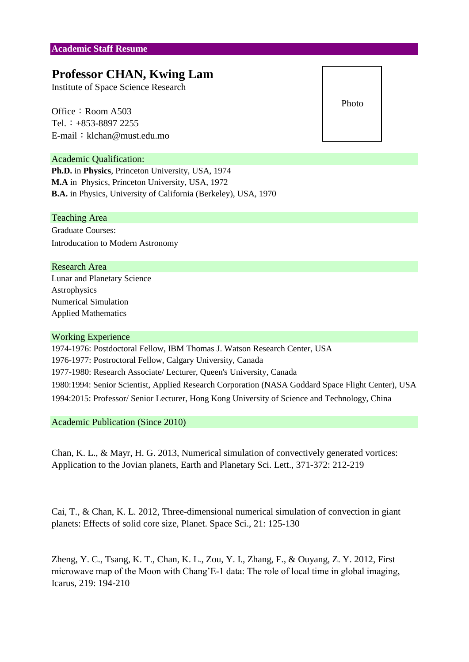# **Professor CHAN, Kwing Lam**

Institute of Space Science Research

Office: Room A503 Tel.:  $+853-8897$  2255 E-mail: klchan@must.edu.mo

### Academic Qualification:

**Ph.D.** in **Physics**, Princeton University, USA, 1974 **M.A** in Physics, Princeton University, USA, 1972 **B.A.** in Physics, University of California (Berkeley), USA, 1970

#### Teaching Area

Graduate Courses: Introducation to Modern Astronomy

## Research Area

Lunar and Planetary Science Astrophysics Numerical Simulation Applied Mathematics

#### Working Experience

1974-1976: Postdoctoral Fellow, IBM Thomas J. Watson Research Center, USA 1976-1977: Postroctoral Fellow, Calgary University, Canada 1977-1980: Research Associate/ Lecturer, Queen's University, Canada 1994:2015: Professor/ Senior Lecturer, Hong Kong University of Science and Technology, China 1980:1994: Senior Scientist, Applied Research Corporation (NASA Goddard Space Flight Center), USA

Academic Publication (Since 2010)

Chan, K. L., & Mayr, H. G. 2013, Numerical simulation of convectively generated vortices: Application to the Jovian planets, Earth and Planetary Sci. Lett., 371-372: 212-219

Cai, T., & Chan, K. L. 2012, Three-dimensional numerical simulation of convection in giant planets: Effects of solid core size, Planet. Space Sci., 21: 125-130

Zheng, Y. C., Tsang, K. T., Chan, K. L., Zou, Y. I., Zhang, F., & Ouyang, Z. Y. 2012, First microwave map of the Moon with Chang'E-1 data: The role of local time in global imaging, Icarus, 219: 194-210

Photo